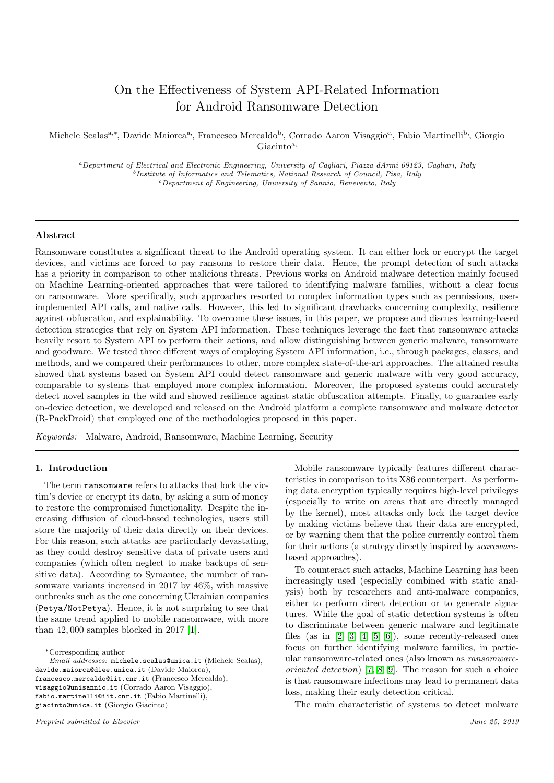# On the Effectiveness of System API-Related Information for Android Ransomware Detection

Michele Scalas<sup>a,∗</sup>, Davide Maiorca<sup>a,</sup>, Francesco Mercaldo<sup>b,</sup>, Corrado Aaron Visaggio<sup>c,</sup>, Fabio Martinelli<sup>b,</sup>, Giorgio Giacinto<sup>a,</sup>

<sup>a</sup>Department of Electrical and Electronic Engineering, University of Cagliari, Piazza dArmi 09123, Cagliari, Italy <sup>b</sup>Institute of Informatics and Telematics, National Research of Council, Pisa, Italy  $c$ Department of Engineering, University of Sannio, Benevento, Italy

#### Abstract

Ransomware constitutes a significant threat to the Android operating system. It can either lock or encrypt the target devices, and victims are forced to pay ransoms to restore their data. Hence, the prompt detection of such attacks has a priority in comparison to other malicious threats. Previous works on Android malware detection mainly focused on Machine Learning-oriented approaches that were tailored to identifying malware families, without a clear focus on ransomware. More specifically, such approaches resorted to complex information types such as permissions, userimplemented API calls, and native calls. However, this led to significant drawbacks concerning complexity, resilience against obfuscation, and explainability. To overcome these issues, in this paper, we propose and discuss learning-based detection strategies that rely on System API information. These techniques leverage the fact that ransomware attacks heavily resort to System API to perform their actions, and allow distinguishing between generic malware, ransomware and goodware. We tested three different ways of employing System API information, i.e., through packages, classes, and methods, and we compared their performances to other, more complex state-of-the-art approaches. The attained results showed that systems based on System API could detect ransomware and generic malware with very good accuracy, comparable to systems that employed more complex information. Moreover, the proposed systems could accurately detect novel samples in the wild and showed resilience against static obfuscation attempts. Finally, to guarantee early on-device detection, we developed and released on the Android platform a complete ransomware and malware detector (R-PackDroid) that employed one of the methodologies proposed in this paper.

Keywords: Malware, Android, Ransomware, Machine Learning, Security

#### 1. Introduction

The term ransomware refers to attacks that lock the victim's device or encrypt its data, by asking a sum of money to restore the compromised functionality. Despite the increasing diffusion of cloud-based technologies, users still store the majority of their data directly on their devices. For this reason, such attacks are particularly devastating, as they could destroy sensitive data of private users and companies (which often neglect to make backups of sensitive data). According to Symantec, the number of ransomware variants increased in 2017 by 46%, with massive outbreaks such as the one concerning Ukrainian companies (Petya/NotPetya). Hence, it is not surprising to see that the same trend applied to mobile ransomware, with more than 42, 000 samples blocked in 2017 [\[1\]](#page-14-0).

fabio.martinelli@iit.cnr.it (Fabio Martinelli),

giacinto@unica.it (Giorgio Giacinto)

Preprint submitted to Elsevier Services of the Services of the Services of the Services of the Services of the Services of the Services of the Services of the Services of the Services of the Services of the Services of the

Mobile ransomware typically features different characteristics in comparison to its X86 counterpart. As performing data encryption typically requires high-level privileges (especially to write on areas that are directly managed by the kernel), most attacks only lock the target device by making victims believe that their data are encrypted, or by warning them that the police currently control them for their actions (a strategy directly inspired by scarewarebased approaches).

To counteract such attacks, Machine Learning has been increasingly used (especially combined with static analysis) both by researchers and anti-malware companies, either to perform direct detection or to generate signatures. While the goal of static detection systems is often to discriminate between generic malware and legitimate files (as in [\[2,](#page-14-1) [3,](#page-14-2) [4,](#page-14-3) [5,](#page-14-4) [6\]](#page-14-5)), some recently-released ones focus on further identifying malware families, in particular ransomware-related ones (also known as ransomwareoriented detection) [\[7,](#page-14-6) [8,](#page-14-7) [9\]](#page-14-8). The reason for such a choice is that ransomware infections may lead to permanent data loss, making their early detection critical.

The main characteristic of systems to detect malware

<sup>∗</sup>Corresponding author

Email addresses: michele.scalas@unica.it (Michele Scalas), davide.maiorca@diee.unica.it (Davide Maiorca), francesco.mercaldo@iit.cnr.it (Francesco Mercaldo), visaggio@unisannio.it (Corrado Aaron Visaggio),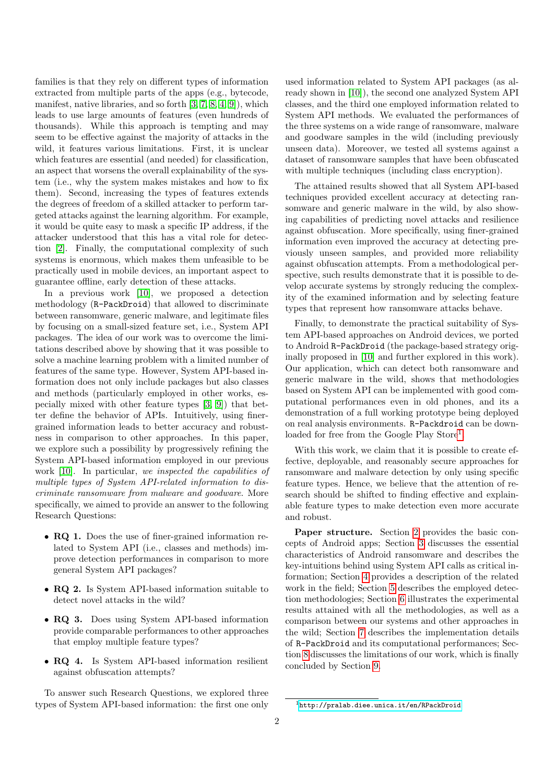families is that they rely on different types of information extracted from multiple parts of the apps (e.g., bytecode, manifest, native libraries, and so forth [\[3,](#page-14-2) [7,](#page-14-6) [8,](#page-14-7) [4,](#page-14-3) [9\]](#page-14-8)), which leads to use large amounts of features (even hundreds of thousands). While this approach is tempting and may seem to be effective against the majority of attacks in the wild, it features various limitations. First, it is unclear which features are essential (and needed) for classification, an aspect that worsens the overall explainability of the system (i.e., why the system makes mistakes and how to fix them). Second, increasing the types of features extends the degrees of freedom of a skilled attacker to perform targeted attacks against the learning algorithm. For example, it would be quite easy to mask a specific IP address, if the attacker understood that this has a vital role for detection [\[2\]](#page-14-1). Finally, the computational complexity of such systems is enormous, which makes them unfeasible to be practically used in mobile devices, an important aspect to guarantee offline, early detection of these attacks.

In a previous work [\[10\]](#page-14-9), we proposed a detection methodology (R-PackDroid) that allowed to discriminate between ransomware, generic malware, and legitimate files by focusing on a small-sized feature set, i.e., System API packages. The idea of our work was to overcome the limitations described above by showing that it was possible to solve a machine learning problem with a limited number of features of the same type. However, System API-based information does not only include packages but also classes and methods (particularly employed in other works, especially mixed with other feature types [\[3,](#page-14-2) [9\]](#page-14-8)) that better define the behavior of APIs. Intuitively, using finergrained information leads to better accuracy and robustness in comparison to other approaches. In this paper, we explore such a possibility by progressively refining the System API-based information employed in our previous work [\[10\]](#page-14-9). In particular, we inspected the capabilities of multiple types of System API-related information to discriminate ransomware from malware and goodware. More specifically, we aimed to provide an answer to the following Research Questions:

- RQ 1. Does the use of finer-grained information related to System API (i.e., classes and methods) improve detection performances in comparison to more general System API packages?
- RQ 2. Is System API-based information suitable to detect novel attacks in the wild?
- RQ 3. Does using System API-based information provide comparable performances to other approaches that employ multiple feature types?
- RQ 4. Is System API-based information resilient against obfuscation attempts?

To answer such Research Questions, we explored three types of System API-based information: the first one only

used information related to System API packages (as already shown in [\[10\]](#page-14-9)), the second one analyzed System API classes, and the third one employed information related to System API methods. We evaluated the performances of the three systems on a wide range of ransomware, malware and goodware samples in the wild (including previously unseen data). Moreover, we tested all systems against a dataset of ransomware samples that have been obfuscated with multiple techniques (including class encryption).

The attained results showed that all System API-based techniques provided excellent accuracy at detecting ransomware and generic malware in the wild, by also showing capabilities of predicting novel attacks and resilience against obfuscation. More specifically, using finer-grained information even improved the accuracy at detecting previously unseen samples, and provided more reliability against obfuscation attempts. From a methodological perspective, such results demonstrate that it is possible to develop accurate systems by strongly reducing the complexity of the examined information and by selecting feature types that represent how ransomware attacks behave.

Finally, to demonstrate the practical suitability of System API-based approaches on Android devices, we ported to Android R-PackDroid (the package-based strategy originally proposed in [\[10\]](#page-14-9) and further explored in this work). Our application, which can detect both ransomware and generic malware in the wild, shows that methodologies based on System API can be implemented with good computational performances even in old phones, and its a demonstration of a full working prototype being deployed on real analysis environments. R-Packdroid can be down-loaded for free from the Google Play Store<sup>[1](#page-1-0)</sup>.

With this work, we claim that it is possible to create effective, deployable, and reasonably secure approaches for ransomware and malware detection by only using specific feature types. Hence, we believe that the attention of research should be shifted to finding effective and explainable feature types to make detection even more accurate and robust.

Paper structure. Section [2](#page-2-0) provides the basic concepts of Android apps; Section [3](#page-2-1) discusses the essential characteristics of Android ransomware and describes the key-intuitions behind using System API calls as critical information; Section [4](#page-3-0) provides a description of the related work in the field; Section [5](#page-4-0) describes the employed detection methodologies; Section [6](#page-5-0) illustrates the experimental results attained with all the methodologies, as well as a comparison between our systems and other approaches in the wild; Section [7](#page-11-0) describes the implementation details of R-PackDroid and its computational performances; Section [8](#page-13-0) discusses the limitations of our work, which is finally concluded by Section [9.](#page-13-1)

<span id="page-1-0"></span><sup>1</sup><http://pralab.diee.unica.it/en/RPackDroid>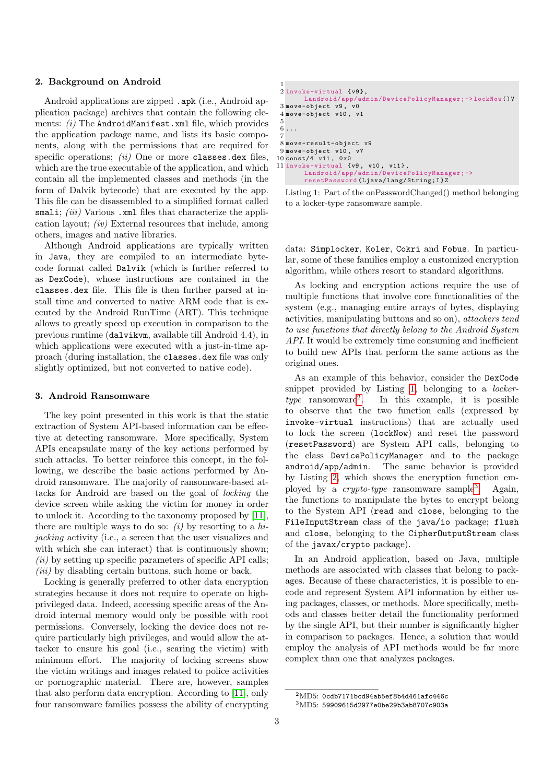#### <span id="page-2-0"></span>2. Background on Android

Android applications are zipped .apk (i.e., Android application package) archives that contain the following elements: *(i)* The AndroidManifest.xml file, which provides the application package name, and lists its basic components, along with the permissions that are required for specific operations;  $(ii)$  One or more classes.dex files, which are the true executable of the application, and which contain all the implemented classes and methods (in the form of Dalvik bytecode) that are executed by the app. This file can be disassembled to a simplified format called smali; (iii) Various .xml files that characterize the application layout; (iv) External resources that include, among others, images and native libraries.

Although Android applications are typically written in Java, they are compiled to an intermediate bytecode format called Dalvik (which is further referred to as DexCode), whose instructions are contained in the classes.dex file. This file is then further parsed at install time and converted to native ARM code that is executed by the Android RunTime (ART). This technique allows to greatly speed up execution in comparison to the previous runtime (dalvikvm, available till Android 4.4), in which applications were executed with a just-in-time approach (during installation, the classes.dex file was only slightly optimized, but not converted to native code).

#### <span id="page-2-1"></span>3. Android Ransomware

The key point presented in this work is that the static extraction of System API-based information can be effective at detecting ransomware. More specifically, System APIs encapsulate many of the key actions performed by such attacks. To better reinforce this concept, in the following, we describe the basic actions performed by Android ransomware. The majority of ransomware-based attacks for Android are based on the goal of locking the device screen while asking the victim for money in order to unlock it. According to the taxonomy proposed by [\[11\]](#page-14-10), there are multiple ways to do so:  $(i)$  by resorting to a hijacking activity (i.e., a screen that the user visualizes and with which she can interact) that is continuously shown;  $(ii)$  by setting up specific parameters of specific API calls;  $(iii)$  by disabling certain buttons, such home or back.

Locking is generally preferred to other data encryption strategies because it does not require to operate on highprivileged data. Indeed, accessing specific areas of the Android internal memory would only be possible with root permissions. Conversely, locking the device does not require particularly high privileges, and would allow the attacker to ensure his goal (i.e., scaring the victim) with minimum effort. The majority of locking screens show the victim writings and images related to police activities or pornographic material. There are, however, samples that also perform data encryption. According to [\[11\]](#page-14-10), only four ransomware families possess the ability of encrypting

```
1
 2 invoke-virtual { v9 },
       Landroid/app/admin/DevicePolicyManager;-> lockNow ()V
 3 move-object v9 , v0
 4 move-object v10 , v1
5
 6 \ldots7
 8 move-result-object v9
 9 move-object v1010 const/4 v11, 0x0
11 invoke-virtual {v9 , v10 , v11 },
Landroid/app/admin/DevicePolicyManager;->
       resetPassword (Ljava/lang/String; I)Z
```
Listing 1: Part of the onPasswordChanged() method belonging to a locker-type ransomware sample.

data: Simplocker, Koler, Cokri and Fobus. In particular, some of these families employ a customized encryption algorithm, while others resort to standard algorithms.

As locking and encryption actions require the use of multiple functions that involve core functionalities of the system (e.g., managing entire arrays of bytes, displaying activities, manipulating buttons and so on), attackers tend to use functions that directly belong to the Android System API. It would be extremely time consuming and inefficient to build new APIs that perform the same actions as the original ones.

As an example of this behavior, consider the DexCode snippet provided by Listing [1,](#page-2-2) belonging to a locker $type$  ransomware<sup>[2](#page-2-3)</sup>. . In this example, it is possible to observe that the two function calls (expressed by invoke-virtual instructions) that are actually used to lock the screen (lockNow) and reset the password (resetPassword) are System API calls, belonging to the class DevicePolicyManager and to the package android/app/admin. The same behavior is provided by Listing [2,](#page-3-1) which shows the encryption function employed by a  $crypto-type$  ransomware sample<sup>[3](#page-2-4)</sup>. . Again, the functions to manipulate the bytes to encrypt belong to the System API (read and close, belonging to the FileInputStream class of the java/io package; flush and close, belonging to the CipherOutputStream class of the javax/crypto package).

In an Android application, based on Java, multiple methods are associated with classes that belong to packages. Because of these characteristics, it is possible to encode and represent System API information by either using packages, classes, or methods. More specifically, methods and classes better detail the functionality performed by the single API, but their number is significantly higher in comparison to packages. Hence, a solution that would employ the analysis of API methods would be far more complex than one that analyzes packages.

<span id="page-2-3"></span> $^{2}$ MD5: 0cdb7171bcd94ab5ef8b4d461afc446c

<span id="page-2-4"></span><sup>3</sup>MD5: 59909615d2977e0be29b3ab8707c903a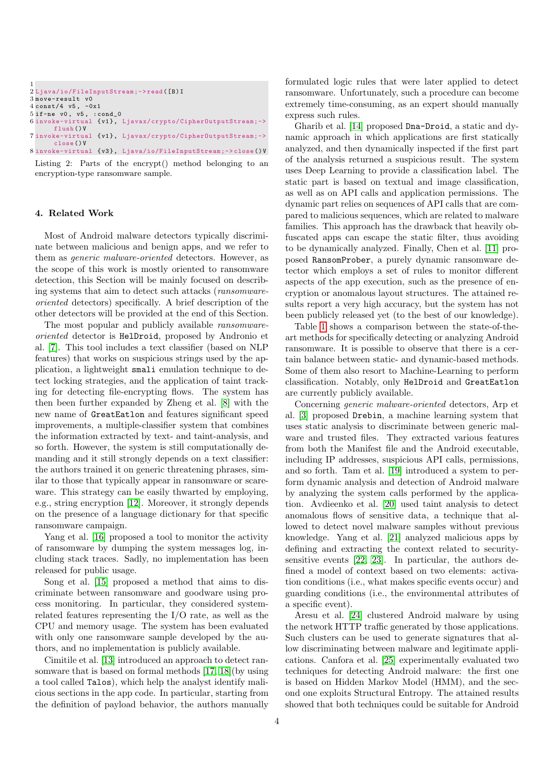```
1
2 Ljava/io/FileInputStream;-> read ([B)I
3 move-result v0
4 const/4 v5, -v55 if-ne v0 , v5 , : cond_0
6 invoke-virtual { v1 }, Ljavax/crypto/CipherOutputStream;->
 flush () V<br>invoke-virtual
7 invoke-virtual { v1 }, Ljavax/crypto/CipherOutputStream;->
      close ()V
8 invoke-virtual { v3 }, Ljava/io/FileInputStream;-> close () V
```
Listing 2: Parts of the encrypt() method belonging to an encryption-type ransomware sample.

## <span id="page-3-0"></span>4. Related Work

Most of Android malware detectors typically discriminate between malicious and benign apps, and we refer to them as generic malware-oriented detectors. However, as the scope of this work is mostly oriented to ransomware detection, this Section will be mainly focused on describing systems that aim to detect such attacks (ransomwareoriented detectors) specifically. A brief description of the other detectors will be provided at the end of this Section.

The most popular and publicly available ransomwareoriented detector is HelDroid, proposed by Andronio et al. [\[7\]](#page-14-6). This tool includes a text classifier (based on NLP features) that works on suspicious strings used by the application, a lightweight smali emulation technique to detect locking strategies, and the application of taint tracking for detecting file-encrypting flows. The system has then been further expanded by Zheng et al. [\[8\]](#page-14-7) with the new name of GreatEatlon and features significant speed improvements, a multiple-classifier system that combines the information extracted by text- and taint-analysis, and so forth. However, the system is still computationally demanding and it still strongly depends on a text classifier: the authors trained it on generic threatening phrases, similar to those that typically appear in ransomware or scareware. This strategy can be easily thwarted by employing, e.g., string encryption [\[12\]](#page-14-11). Moreover, it strongly depends on the presence of a language dictionary for that specific ransomware campaign.

Yang et al. [\[16\]](#page-14-12) proposed a tool to monitor the activity of ransomware by dumping the system messages log, including stack traces. Sadly, no implementation has been released for public usage.

Song et al. [\[15\]](#page-14-13) proposed a method that aims to discriminate between ransomware and goodware using process monitoring. In particular, they considered systemrelated features representing the I/O rate, as well as the CPU and memory usage. The system has been evaluated with only one ransomware sample developed by the authors, and no implementation is publicly available.

Cimitile et al. [\[13\]](#page-14-14) introduced an approach to detect ransomware that is based on formal methods [\[17,](#page-14-15) [18\]](#page-14-16)(by using a tool called Talos), which help the analyst identify malicious sections in the app code. In particular, starting from the definition of payload behavior, the authors manually

formulated logic rules that were later applied to detect ransomware. Unfortunately, such a procedure can become extremely time-consuming, as an expert should manually express such rules.

Gharib et al. [\[14\]](#page-14-17) proposed Dna-Droid, a static and dynamic approach in which applications are first statically analyzed, and then dynamically inspected if the first part of the analysis returned a suspicious result. The system uses Deep Learning to provide a classification label. The static part is based on textual and image classification, as well as on API calls and application permissions. The dynamic part relies on sequences of API calls that are compared to malicious sequences, which are related to malware families. This approach has the drawback that heavily obfuscated apps can escape the static filter, thus avoiding to be dynamically analyzed. Finally, Chen et al. [\[11\]](#page-14-10) proposed RansomProber, a purely dynamic ransomware detector which employs a set of rules to monitor different aspects of the app execution, such as the presence of encryption or anomalous layout structures. The attained results report a very high accuracy, but the system has not been publicly released yet (to the best of our knowledge).

Table [1](#page-4-1) shows a comparison between the state-of-theart methods for specifically detecting or analyzing Android ransomware. It is possible to observe that there is a certain balance between static- and dynamic-based methods. Some of them also resort to Machine-Learning to perform classification. Notably, only HelDroid and GreatEatlon are currently publicly available.

Concerning generic malware-oriented detectors, Arp et al. [\[3\]](#page-14-2) proposed Drebin, a machine learning system that uses static analysis to discriminate between generic malware and trusted files. They extracted various features from both the Manifest file and the Android executable, including IP addresses, suspicious API calls, permissions, and so forth. Tam et al. [\[19\]](#page-14-18) introduced a system to perform dynamic analysis and detection of Android malware by analyzing the system calls performed by the application. Avdieenko et al. [\[20\]](#page-14-19) used taint analysis to detect anomalous flows of sensitive data, a technique that allowed to detect novel malware samples without previous knowledge. Yang et al. [\[21\]](#page-14-20) analyzed malicious apps by defining and extracting the context related to securitysensitive events [\[22,](#page-14-21) [23\]](#page-14-22). In particular, the authors defined a model of context based on two elements: activation conditions (i.e., what makes specific events occur) and guarding conditions (i.e., the environmental attributes of a specific event).

Aresu et al. [\[24\]](#page-14-23) clustered Android malware by using the network HTTP traffic generated by those applications. Such clusters can be used to generate signatures that allow discriminating between malware and legitimate applications. Canfora et al. [\[25\]](#page-14-24) experimentally evaluated two techniques for detecting Android malware: the first one is based on Hidden Markov Model (HMM), and the second one exploits Structural Entropy. The attained results showed that both techniques could be suitable for Android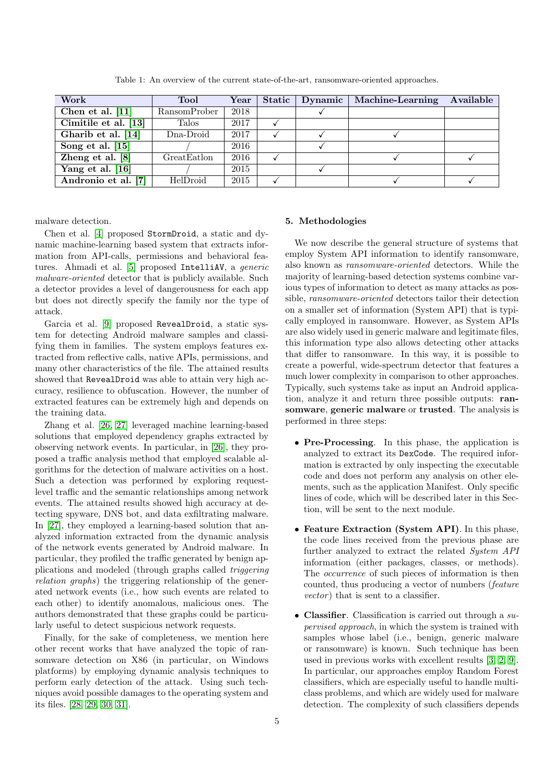<span id="page-4-1"></span>

| Work                 | <b>Tool</b>  | Year | Static | Dynamic | Machine-Learning | Available |
|----------------------|--------------|------|--------|---------|------------------|-----------|
| Chen et al. $[11]$   | RansomProber | 2018 |        |         |                  |           |
| Cimitile et al. [13] | Talos        | 2017 |        |         |                  |           |
| Gharib et al. [14]   | Dna-Droid    | 2017 |        |         |                  |           |
| Song et al. $[15]$   |              | 2016 |        |         |                  |           |
| Zheng et al. [8]     | GreatEatlon  | 2016 |        |         |                  |           |
| Yang et al. [16]     |              | 2015 |        |         |                  |           |
| Andronio et al. [7]  | HelDroid     | 2015 |        |         |                  |           |

Table 1: An overview of the current state-of-the-art, ransomware-oriented approaches.

malware detection.

Chen et al. [\[4\]](#page-14-3) proposed StormDroid, a static and dynamic machine-learning based system that extracts information from API-calls, permissions and behavioral fea-tures. Ahmadi et al. [\[5\]](#page-14-4) proposed IntelliAV, a generic malware-oriented detector that is publicly available. Such a detector provides a level of dangerousness for each app but does not directly specify the family nor the type of attack.

Garcia et al. [\[9\]](#page-14-8) proposed RevealDroid, a static system for detecting Android malware samples and classifying them in families. The system employs features extracted from reflective calls, native APIs, permissions, and many other characteristics of the file. The attained results showed that RevealDroid was able to attain very high accuracy, resilience to obfuscation. However, the number of extracted features can be extremely high and depends on the training data.

Zhang et al. [\[26,](#page-14-25) [27\]](#page-14-26) leveraged machine learning-based solutions that employed dependency graphs extracted by observing network events. In particular, in [\[26\]](#page-14-25), they proposed a traffic analysis method that employed scalable algorithms for the detection of malware activities on a host. Such a detection was performed by exploring requestlevel traffic and the semantic relationships among network events. The attained results showed high accuracy at detecting spyware, DNS bot, and data exfiltrating malware. In [\[27\]](#page-14-26), they employed a learning-based solution that analyzed information extracted from the dynamic analysis of the network events generated by Android malware. In particular, they profiled the traffic generated by benign applications and modeled (through graphs called triggering relation graphs) the triggering relationship of the generated network events (i.e., how such events are related to each other) to identify anomalous, malicious ones. The authors demonstrated that these graphs could be particularly useful to detect suspicious network requests.

Finally, for the sake of completeness, we mention here other recent works that have analyzed the topic of ransomware detection on X86 (in particular, on Windows platforms) by employing dynamic analysis techniques to perform early detection of the attack. Using such techniques avoid possible damages to the operating system and its files. [\[28,](#page-14-27) [29,](#page-14-28) [30,](#page-14-29) [31\]](#page-15-0).

## <span id="page-4-0"></span>5. Methodologies

We now describe the general structure of systems that employ System API information to identify ransomware, also known as ransomware-oriented detectors. While the majority of learning-based detection systems combine various types of information to detect as many attacks as possible, ransomware-oriented detectors tailor their detection on a smaller set of information (System API) that is typically employed in ransomware. However, as System APIs are also widely used in generic malware and legitimate files, this information type also allows detecting other attacks that differ to ransomware. In this way, it is possible to create a powerful, wide-spectrum detector that features a much lower complexity in comparison to other approaches. Typically, such systems take as input an Android application, analyze it and return three possible outputs: ransomware, generic malware or trusted. The analysis is performed in three steps:

- Pre-Processing. In this phase, the application is analyzed to extract its DexCode. The required information is extracted by only inspecting the executable code and does not perform any analysis on other elements, such as the application Manifest. Only specific lines of code, which will be described later in this Section, will be sent to the next module.
- Feature Extraction (System API). In this phase, the code lines received from the previous phase are further analyzed to extract the related System API information (either packages, classes, or methods). The *occurrence* of such pieces of information is then counted, thus producing a vector of numbers (feature  $vector)$  that is sent to a classifier.
- Classifier. Classification is carried out through a supervised approach, in which the system is trained with samples whose label (i.e., benign, generic malware or ransomware) is known. Such technique has been used in previous works with excellent results [\[3,](#page-14-2) [2,](#page-14-1) [9\]](#page-14-8). In particular, our approaches employ Random Forest classifiers, which are especially useful to handle multiclass problems, and which are widely used for malware detection. The complexity of such classifiers depends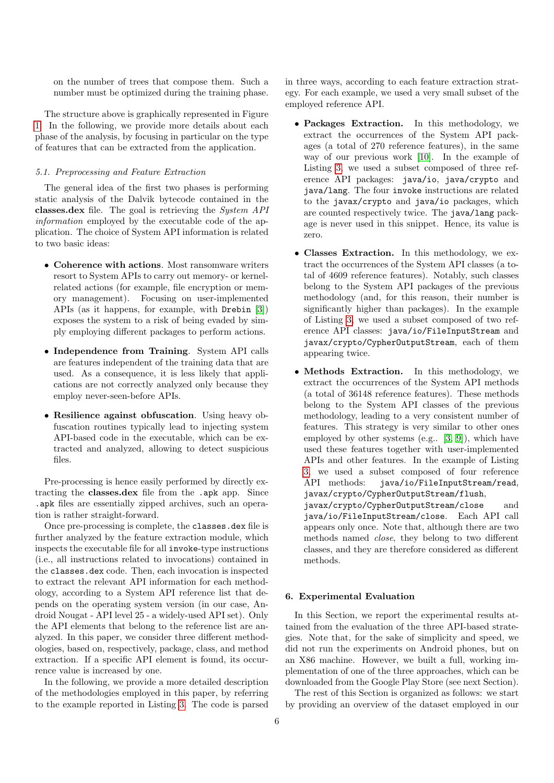on the number of trees that compose them. Such a number must be optimized during the training phase.

The structure above is graphically represented in Figure [1.](#page-6-0) In the following, we provide more details about each phase of the analysis, by focusing in particular on the type of features that can be extracted from the application.

#### 5.1. Preprocessing and Feature Extraction

The general idea of the first two phases is performing static analysis of the Dalvik bytecode contained in the classes.dex file. The goal is retrieving the System API information employed by the executable code of the application. The choice of System API information is related to two basic ideas:

- Coherence with actions. Most ransomware writers resort to System APIs to carry out memory- or kernelrelated actions (for example, file encryption or memory management). Focusing on user-implemented APIs (as it happens, for example, with Drebin [\[3\]](#page-14-2)) exposes the system to a risk of being evaded by simply employing different packages to perform actions.
- Independence from Training. System API calls are features independent of the training data that are used. As a consequence, it is less likely that applications are not correctly analyzed only because they employ never-seen-before APIs.
- Resilience against obfuscation. Using heavy obfuscation routines typically lead to injecting system API-based code in the executable, which can be extracted and analyzed, allowing to detect suspicious files.

Pre-processing is hence easily performed by directly extracting the classes.dex file from the .apk app. Since .apk files are essentially zipped archives, such an operation is rather straight-forward.

Once pre-processing is complete, the classes.dex file is further analyzed by the feature extraction module, which inspects the executable file for all invoke-type instructions (i.e., all instructions related to invocations) contained in the classes.dex code. Then, each invocation is inspected to extract the relevant API information for each methodology, according to a System API reference list that depends on the operating system version (in our case, Android Nougat - API level 25 - a widely-used API set). Only the API elements that belong to the reference list are analyzed. In this paper, we consider three different methodologies, based on, respectively, package, class, and method extraction. If a specific API element is found, its occurrence value is increased by one.

In the following, we provide a more detailed description of the methodologies employed in this paper, by referring to the example reported in Listing [3.](#page-6-1) The code is parsed in three ways, according to each feature extraction strategy. For each example, we used a very small subset of the employed reference API.

- Packages Extraction. In this methodology, we extract the occurrences of the System API packages (a total of 270 reference features), in the same way of our previous work [\[10\]](#page-14-9). In the example of Listing [3,](#page-6-1) we used a subset composed of three reference API packages: java/io, java/crypto and java/lang. The four invoke instructions are related to the javax/crypto and java/io packages, which are counted respectively twice. The java/lang package is never used in this snippet. Hence, its value is zero.
- Classes Extraction. In this methodology, we extract the occurrences of the System API classes (a total of 4609 reference features). Notably, such classes belong to the System API packages of the previous methodology (and, for this reason, their number is significantly higher than packages). In the example of Listing [3,](#page-6-1) we used a subset composed of two reference API classes: java/io/FileInputStream and javax/crypto/CypherOutputStream, each of them appearing twice.
- Methods Extraction. In this methodology, we extract the occurrences of the System API methods (a total of 36148 reference features). These methods belong to the System API classes of the previous methodology, leading to a very consistent number of features. This strategy is very similar to other ones employed by other systems (e.g.. [\[3,](#page-14-2) [9\]](#page-14-8)), which have used these features together with user-implemented APIs and other features. In the example of Listing [3,](#page-6-1) we used a subset composed of four reference API methods: java/io/FileInputStream/read, javax/crypto/CypherOutputStream/flush, javax/crypto/CypherOutputStream/close and java/io/FileInputStream/close. Each API call appears only once. Note that, although there are two methods named close, they belong to two different classes, and they are therefore considered as different methods.

#### <span id="page-5-0"></span>6. Experimental Evaluation

In this Section, we report the experimental results attained from the evaluation of the three API-based strategies. Note that, for the sake of simplicity and speed, we did not run the experiments on Android phones, but on an X86 machine. However, we built a full, working implementation of one of the three approaches, which can be downloaded from the Google Play Store (see next Section).

The rest of this Section is organized as follows: we start by providing an overview of the dataset employed in our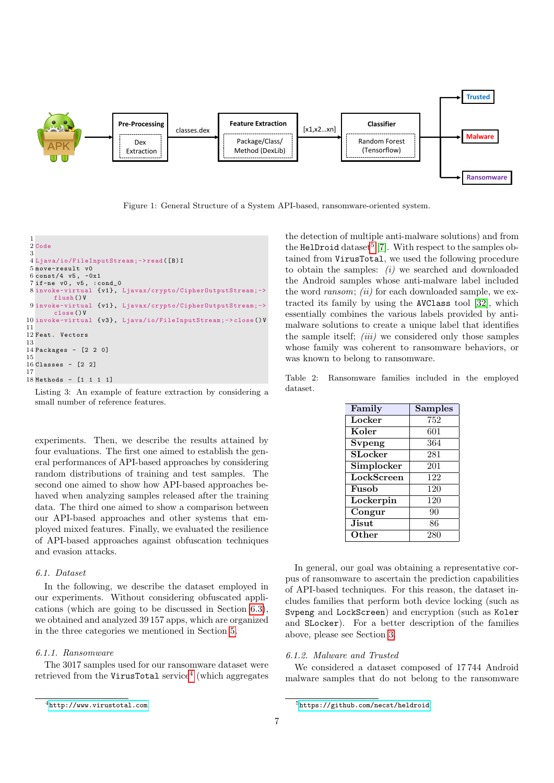<span id="page-6-0"></span>

Figure 1: General Structure of a System API-based, ransomware-oriented system.

```
1
2 Code
3
4 Ljava/io/FileInputStream;-> read ([B)I
5 move-result v0
6 const/4 v5, -v57 if-ne v0, v5, :cond_0
8 invoke-virtual { v1 }, Ljavax/crypto/CipherOutputStream;->
       flush ()V
9 invoke-virtual { v1 }, Ljavax/crypto/CipherOutputStream;->
       close ()V
10 invoke-virtual { v3 }, Ljava/io/FileInputStream;-> close () V
11
12 Feat. Vectors
13
14 Packages - [2 2 0]
15
16 Classes - [2 2]
17
18 Methods - [1 1 1 1]
```
Listing 3: An example of feature extraction by considering a small number of reference features.

experiments. Then, we describe the results attained by four evaluations. The first one aimed to establish the general performances of API-based approaches by considering random distributions of training and test samples. The second one aimed to show how API-based approaches behaved when analyzing samples released after the training data. The third one aimed to show a comparison between our API-based approaches and other systems that employed mixed features. Finally, we evaluated the resilience of API-based approaches against obfuscation techniques and evasion attacks.

## 6.1. Dataset

In the following, we describe the dataset employed in our experiments. Without considering obfuscated applications (which are going to be discussed in Section [6.3\)](#page-8-0), we obtained and analyzed 39 157 apps, which are organized in the three categories we mentioned in Section [5.](#page-4-0)

## 6.1.1. Ransomware

The 3017 samples used for our ransomware dataset were retrieved from the  $VirusTotal service<sup>4</sup>$  $VirusTotal service<sup>4</sup>$  $VirusTotal service<sup>4</sup>$  (which aggregates

the detection of multiple anti-malware solutions) and from the HelDroid dataset<sup>[5](#page-6-3)</sup> [\[7\]](#page-14-6). With respect to the samples obtained from VirusTotal, we used the following procedure to obtain the samples:  $(i)$  we searched and downloaded the Android samples whose anti-malware label included the word *ransom*; (ii) for each downloaded sample, we extracted its family by using the AVClass tool [\[32\]](#page-15-1), which essentially combines the various labels provided by antimalware solutions to create a unique label that identifies the sample itself;  $(iii)$  we considered only those samples whose family was coherent to ransomware behaviors, or was known to belong to ransomware.

Table 2: Ransomware families included in the employed dataset.

| Family         | <b>Samples</b> |
|----------------|----------------|
| Locker         | 752            |
| Koler          | 601            |
| Svpeng         | 364            |
| <b>SLocker</b> | 281            |
| Simplocker     | 201            |
| LockScreen     | 122            |
| Fusob          | 120            |
| Lockerpin      | 120            |
| Congur         | 90             |
| <b>Jisut</b>   | 86             |
| $\rm Other$    | 280            |

In general, our goal was obtaining a representative corpus of ransomware to ascertain the prediction capabilities of API-based techniques. For this reason, the dataset includes families that perform both device locking (such as Svpeng and LockScreen) and encryption (such as Koler and SLocker). For a better description of the families above, please see Section [3.](#page-2-1)

## 6.1.2. Malware and Trusted

We considered a dataset composed of 17 744 Android malware samples that do not belong to the ransomware

<span id="page-6-2"></span><sup>4</sup><http://www.virustotal.com>

<span id="page-6-3"></span><sup>5</sup><https://github.com/necst/heldroid>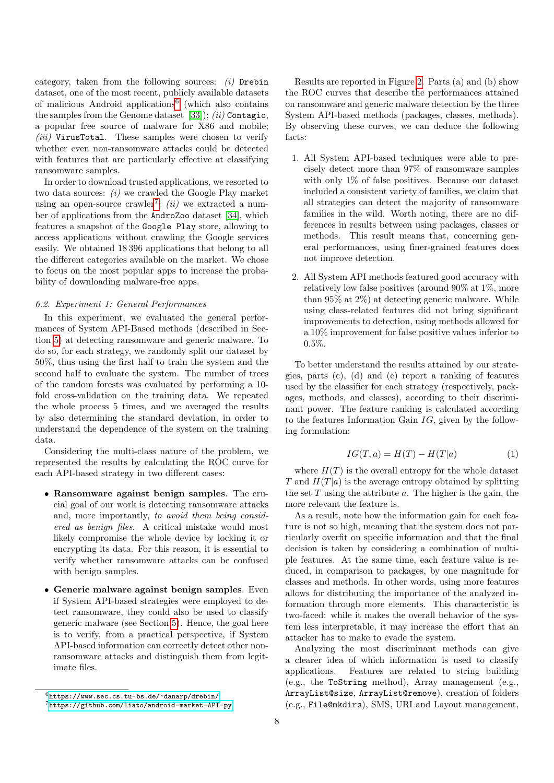category, taken from the following sources:  $(i)$  Drebin dataset, one of the most recent, publicly available datasets of malicious Android applications<sup>[6](#page-7-0)</sup> (which also contains the samples from the Genome dataset  $[33]$ ;  $(ii)$  Contagio, a popular free source of malware for X86 and mobile;  $(iii)$  VirusTotal. These samples were chosen to verify whether even non-ransomware attacks could be detected with features that are particularly effective at classifying ransomware samples.

In order to download trusted applications, we resorted to two data sources:  $(i)$  we crawled the Google Play market using an open-source crawler<sup>[7](#page-7-1)</sup>; (ii) we extracted a number of applications from the AndroZoo dataset [\[34\]](#page-15-3), which features a snapshot of the Google Play store, allowing to access applications without crawling the Google services easily. We obtained 18 396 applications that belong to all the different categories available on the market. We chose to focus on the most popular apps to increase the probability of downloading malware-free apps.

## 6.2. Experiment 1: General Performances

In this experiment, we evaluated the general performances of System API-Based methods (described in Section [5\)](#page-4-0) at detecting ransomware and generic malware. To do so, for each strategy, we randomly split our dataset by 50%, thus using the first half to train the system and the second half to evaluate the system. The number of trees of the random forests was evaluated by performing a 10 fold cross-validation on the training data. We repeated the whole process 5 times, and we averaged the results by also determining the standard deviation, in order to understand the dependence of the system on the training data.

Considering the multi-class nature of the problem, we represented the results by calculating the ROC curve for each API-based strategy in two different cases:

- Ransomware against benign samples. The crucial goal of our work is detecting ransomware attacks and, more importantly, to avoid them being considered as benign files. A critical mistake would most likely compromise the whole device by locking it or encrypting its data. For this reason, it is essential to verify whether ransomware attacks can be confused with benign samples.
- Generic malware against benign samples. Even if System API-based strategies were employed to detect ransomware, they could also be used to classify generic malware (see Section [5\)](#page-4-0). Hence, the goal here is to verify, from a practical perspective, if System API-based information can correctly detect other nonransomware attacks and distinguish them from legitimate files.

Results are reported in Figure [2.](#page-8-1) Parts (a) and (b) show the ROC curves that describe the performances attained on ransomware and generic malware detection by the three System API-based methods (packages, classes, methods). By observing these curves, we can deduce the following facts:

- 1. All System API-based techniques were able to precisely detect more than 97% of ransomware samples with only 1% of false positives. Because our dataset included a consistent variety of families, we claim that all strategies can detect the majority of ransomware families in the wild. Worth noting, there are no differences in results between using packages, classes or methods. This result means that, concerning general performances, using finer-grained features does not improve detection.
- 2. All System API methods featured good accuracy with relatively low false positives (around 90% at 1%, more than 95% at 2%) at detecting generic malware. While using class-related features did not bring significant improvements to detection, using methods allowed for a 10% improvement for false positive values inferior to 0.5%.

To better understand the results attained by our strategies, parts (c), (d) and (e) report a ranking of features used by the classifier for each strategy (respectively, packages, methods, and classes), according to their discriminant power. The feature ranking is calculated according to the features Information Gain  $IG$ , given by the following formulation:

$$
IG(T, a) = H(T) - H(T|a)
$$
\n<sup>(1)</sup>

where  $H(T)$  is the overall entropy for the whole dataset  $T$  and  $H(T|a)$  is the average entropy obtained by splitting the set  $T$  using the attribute  $a$ . The higher is the gain, the more relevant the feature is.

As a result, note how the information gain for each feature is not so high, meaning that the system does not particularly overfit on specific information and that the final decision is taken by considering a combination of multiple features. At the same time, each feature value is reduced, in comparison to packages, by one magnitude for classes and methods. In other words, using more features allows for distributing the importance of the analyzed information through more elements. This characteristic is two-faced: while it makes the overall behavior of the system less interpretable, it may increase the effort that an attacker has to make to evade the system.

Analyzing the most discriminant methods can give a clearer idea of which information is used to classify applications. Features are related to string building (e.g., the ToString method), Array management (e.g., ArrayList@size, ArrayList@remove), creation of folders (e.g., File@mkdirs), SMS, URI and Layout management,

<span id="page-7-0"></span> $^6$ <https://www.sec.cs.tu-bs.de/~danarp/drebin/>

<span id="page-7-1"></span><sup>7</sup><https://github.com/liato/android-market-API-py>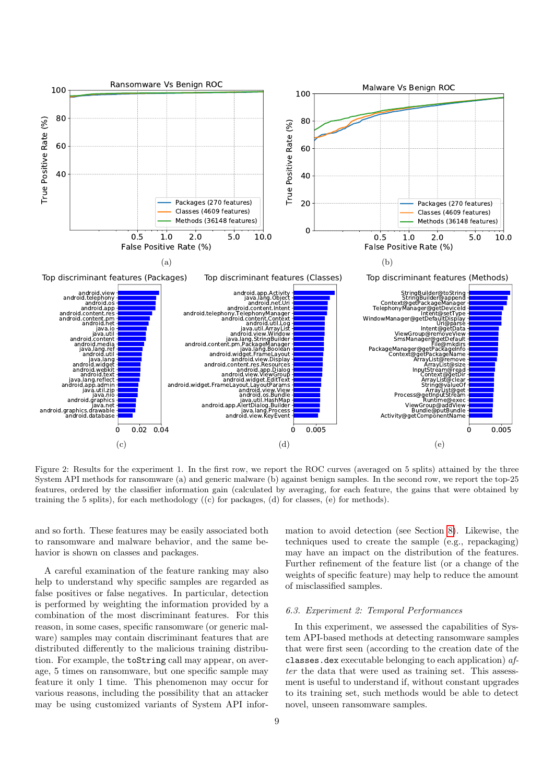<span id="page-8-1"></span>

Figure 2: Results for the experiment 1. In the first row, we report the ROC curves (averaged on 5 splits) attained by the three System API methods for ransomware (a) and generic malware (b) against benign samples. In the second row, we report the top-25 features, ordered by the classifier information gain (calculated by averaging, for each feature, the gains that were obtained by training the 5 splits), for each methodology ((c) for packages, (d) for classes, (e) for methods).

and so forth. These features may be easily associated both to ransomware and malware behavior, and the same behavior is shown on classes and packages.

A careful examination of the feature ranking may also help to understand why specific samples are regarded as false positives or false negatives. In particular, detection is performed by weighting the information provided by a combination of the most discriminant features. For this reason, in some cases, specific ransomware (or generic malware) samples may contain discriminant features that are distributed differently to the malicious training distribution. For example, the toString call may appear, on average, 5 times on ransomware, but one specific sample may feature it only 1 time. This phenomenon may occur for various reasons, including the possibility that an attacker may be using customized variants of System API infor-

mation to avoid detection (see Section [8\)](#page-13-0). Likewise, the techniques used to create the sample (e.g., repackaging) may have an impact on the distribution of the features. Further refinement of the feature list (or a change of the weights of specific feature) may help to reduce the amount of misclassified samples.

## <span id="page-8-0"></span>6.3. Experiment 2: Temporal Performances

In this experiment, we assessed the capabilities of System API-based methods at detecting ransomware samples that were first seen (according to the creation date of the classes.dex executable belonging to each application) after the data that were used as training set. This assessment is useful to understand if, without constant upgrades to its training set, such methods would be able to detect novel, unseen ransomware samples.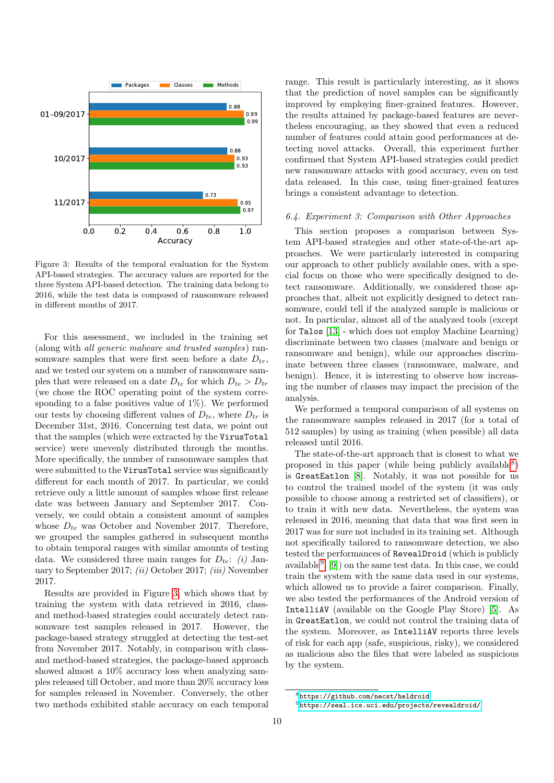<span id="page-9-0"></span>

Figure 3: Results of the temporal evaluation for the System API-based strategies. The accuracy values are reported for the three System API-based detection. The training data belong to 2016, while the test data is composed of ransomware released in different months of 2017.

For this assessment, we included in the training set (along with all generic malware and trusted samples) ransomware samples that were first seen before a date  $D_{tr}$ , and we tested our system on a number of ransomware samples that were released on a date  $D_{te}$  for which  $D_{te} > D_{tr}$ (we chose the ROC operating point of the system corresponding to a false positives value of  $1\%$ ). We performed our tests by choosing different values of  $D_{te}$ , where  $D_{tr}$  is December 31st, 2016. Concerning test data, we point out that the samples (which were extracted by the VirusTotal service) were unevenly distributed through the months. More specifically, the number of ransomware samples that were submitted to the VirusTotal service was significantly different for each month of 2017. In particular, we could retrieve only a little amount of samples whose first release date was between January and September 2017. Conversely, we could obtain a consistent amount of samples whose  $D_{te}$  was October and November 2017. Therefore, we grouped the samples gathered in subsequent months to obtain temporal ranges with similar amounts of testing data. We considered three main ranges for  $D_{te}:$  (i) January to September 2017; (ii) October 2017; (iii) November 2017.

Results are provided in Figure [3,](#page-9-0) which shows that by training the system with data retrieved in 2016, classand method-based strategies could accurately detect ransomware test samples released in 2017. However, the package-based strategy struggled at detecting the test-set from November 2017. Notably, in comparison with classand method-based strategies, the package-based approach showed almost a 10% accuracy loss when analyzing samples released till October, and more than 20% accuracy loss for samples released in November. Conversely, the other two methods exhibited stable accuracy on each temporal

range. This result is particularly interesting, as it shows that the prediction of novel samples can be significantly improved by employing finer-grained features. However, the results attained by package-based features are nevertheless encouraging, as they showed that even a reduced number of features could attain good performances at detecting novel attacks. Overall, this experiment further confirmed that System API-based strategies could predict new ransomware attacks with good accuracy, even on test data released. In this case, using finer-grained features brings a consistent advantage to detection.

#### 6.4. Experiment 3: Comparison with Other Approaches

This section proposes a comparison between System API-based strategies and other state-of-the-art approaches. We were particularly interested in comparing our approach to other publicly available ones, with a special focus on those who were specifically designed to detect ransomware. Additionally, we considered those approaches that, albeit not explicitly designed to detect ransomware, could tell if the analyzed sample is malicious or not. In particular, almost all of the analyzed tools (except for Talos [\[13\]](#page-14-14) - which does not employ Machine Learning) discriminate between two classes (malware and benign or ransomware and benign), while our approaches discriminate between three classes (ransomware, malware, and benign). Hence, it is interesting to observe how increasing the number of classes may impact the precision of the analysis.

We performed a temporal comparison of all systems on the ransomware samples released in 2017 (for a total of 512 samples) by using as training (when possible) all data released until 2016.

The state-of-the-art approach that is closest to what we proposed in this paper (while being publicly available<sup>[8](#page-9-1)</sup>) is GreatEatlon [\[8\]](#page-14-7). Notably, it was not possible for us to control the trained model of the system (it was only possible to choose among a restricted set of classifiers), or to train it with new data. Nevertheless, the system was released in 2016, meaning that data that was first seen in 2017 was for sure not included in its training set. Although not specifically tailored to ransomware detection, we also tested the performances of RevealDroid (which is publicly available[9](#page-9-2) [\[9\]](#page-14-8)) on the same test data. In this case, we could train the system with the same data used in our systems, which allowed us to provide a fairer comparison. Finally, we also tested the performances of the Android version of IntelliAV (available on the Google Play Store) [\[5\]](#page-14-4). As in GreatEatlon, we could not control the training data of the system. Moreover, as IntelliAV reports three levels of risk for each app (safe, suspicious, risky), we considered as malicious also the files that were labeled as suspicious by the system.

<span id="page-9-1"></span><sup>8</sup><https://github.com/necst/heldroid>

<span id="page-9-2"></span><sup>9</sup><https://seal.ics.uci.edu/projects/revealdroid/>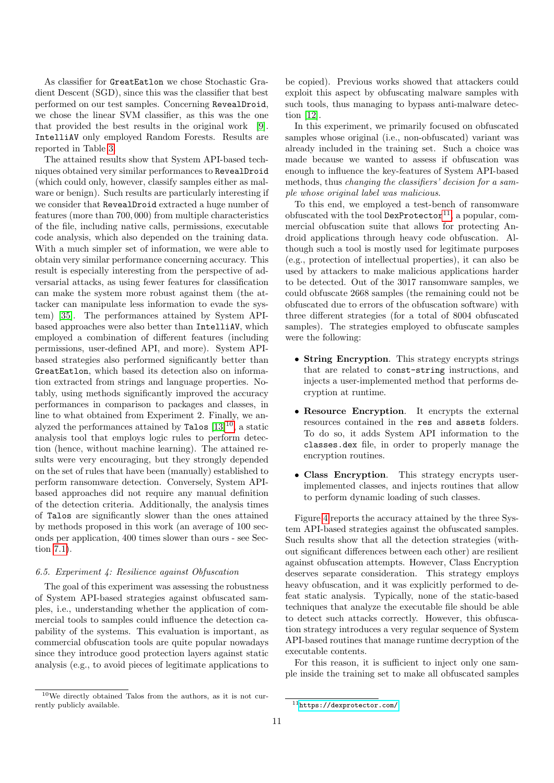As classifier for GreatEatlon we chose Stochastic Gradient Descent (SGD), since this was the classifier that best performed on our test samples. Concerning RevealDroid, we chose the linear SVM classifier, as this was the one that provided the best results in the original work [\[9\]](#page-14-8). IntelliAV only employed Random Forests. Results are reported in Table [3.](#page-11-1)

The attained results show that System API-based techniques obtained very similar performances to RevealDroid (which could only, however, classify samples either as malware or benign). Such results are particularly interesting if we consider that RevealDroid extracted a huge number of features (more than 700, 000) from multiple characteristics of the file, including native calls, permissions, executable code analysis, which also depended on the training data. With a much simpler set of information, we were able to obtain very similar performance concerning accuracy. This result is especially interesting from the perspective of adversarial attacks, as using fewer features for classification can make the system more robust against them (the attacker can manipulate less information to evade the system) [\[35\]](#page-15-4). The performances attained by System APIbased approaches were also better than IntelliAV, which employed a combination of different features (including permissions, user-defined API, and more). System APIbased strategies also performed significantly better than GreatEatlon, which based its detection also on information extracted from strings and language properties. Notably, using methods significantly improved the accuracy performances in comparison to packages and classes, in line to what obtained from Experiment 2. Finally, we analyzed the performances attained by  $\texttt{Tables} \ [13]^{10},$  $\texttt{Tables} \ [13]^{10},$  $\texttt{Tables} \ [13]^{10},$  $\texttt{Tables} \ [13]^{10},$  $\texttt{Tables} \ [13]^{10},$  a static analysis tool that employs logic rules to perform detection (hence, without machine learning). The attained results were very encouraging, but they strongly depended on the set of rules that have been (manually) established to perform ransomware detection. Conversely, System APIbased approaches did not require any manual definition of the detection criteria. Additionally, the analysis times of Talos are significantly slower than the ones attained by methods proposed in this work (an average of 100 seconds per application, 400 times slower than ours - see Section [7.1\)](#page-12-0).

## 6.5. Experiment 4: Resilience against Obfuscation

The goal of this experiment was assessing the robustness of System API-based strategies against obfuscated samples, i.e., understanding whether the application of commercial tools to samples could influence the detection capability of the systems. This evaluation is important, as commercial obfuscation tools are quite popular nowadays since they introduce good protection layers against static analysis (e.g., to avoid pieces of legitimate applications to

<span id="page-10-0"></span> $10$ We directly obtained Talos from the authors, as it is not currently publicly available.

be copied). Previous works showed that attackers could exploit this aspect by obfuscating malware samples with such tools, thus managing to bypass anti-malware detection [\[12\]](#page-14-11).

In this experiment, we primarily focused on obfuscated samples whose original (i.e., non-obfuscated) variant was already included in the training set. Such a choice was made because we wanted to assess if obfuscation was enough to influence the key-features of System API-based methods, thus changing the classifiers' decision for a sample whose original label was malicious.

To this end, we employed a test-bench of ransomware obfuscated with the tool DexProtector<sup>[11](#page-10-1)</sup>, a popular, commercial obfuscation suite that allows for protecting Android applications through heavy code obfuscation. Although such a tool is mostly used for legitimate purposes (e.g., protection of intellectual properties), it can also be used by attackers to make malicious applications harder to be detected. Out of the 3017 ransomware samples, we could obfuscate 2668 samples (the remaining could not be obfuscated due to errors of the obfuscation software) with three different strategies (for a total of 8004 obfuscated samples). The strategies employed to obfuscate samples were the following:

- String Encryption. This strategy encrypts strings that are related to const-string instructions, and injects a user-implemented method that performs decryption at runtime.
- Resource Encryption. It encrypts the external resources contained in the res and assets folders. To do so, it adds System API information to the classes.dex file, in order to properly manage the encryption routines.
- Class Encryption. This strategy encrypts userimplemented classes, and injects routines that allow to perform dynamic loading of such classes.

Figure [4](#page-11-2) reports the accuracy attained by the three System API-based strategies against the obfuscated samples. Such results show that all the detection strategies (without significant differences between each other) are resilient against obfuscation attempts. However, Class Encryption deserves separate consideration. This strategy employs heavy obfuscation, and it was explicitly performed to defeat static analysis. Typically, none of the static-based techniques that analyze the executable file should be able to detect such attacks correctly. However, this obfuscation strategy introduces a very regular sequence of System API-based routines that manage runtime decryption of the executable contents.

For this reason, it is sufficient to inject only one sample inside the training set to make all obfuscated samples

<span id="page-10-1"></span><sup>11</sup><https://dexprotector.com/>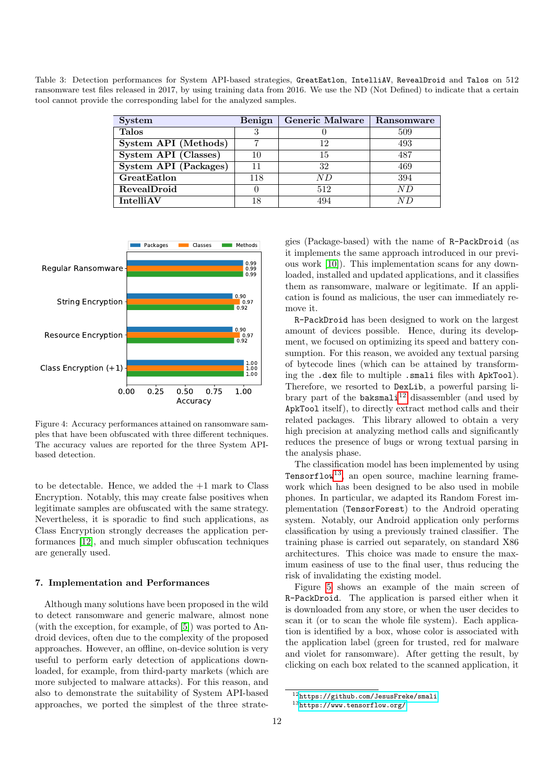| <b>System</b>         | Benign | <b>Generic Malware</b> | Ransomware |
|-----------------------|--------|------------------------|------------|
| <b>Talos</b>          |        |                        | 509        |
| System API (Methods)  |        | 12                     | 493        |
| System API (Classes)  |        | 15                     | 487        |
| System API (Packages) |        | 32                     | 469        |
| GreatEatlon           | 118    | N D                    | 394        |
| RevealDroid           |        | 512                    | N D        |
| <b>IntelliAV</b>      |        | 494                    |            |

<span id="page-11-1"></span>Table 3: Detection performances for System API-based strategies, GreatEatlon, IntelliAV, RevealDroid and Talos on 512 ransomware test files released in 2017, by using training data from 2016. We use the ND (Not Defined) to indicate that a certain tool cannot provide the corresponding label for the analyzed samples.

<span id="page-11-2"></span>

Figure 4: Accuracy performances attained on ransomware samples that have been obfuscated with three different techniques. The accuracy values are reported for the three System APIbased detection.

to be detectable. Hence, we added the  $+1$  mark to Class Encryption. Notably, this may create false positives when legitimate samples are obfuscated with the same strategy. Nevertheless, it is sporadic to find such applications, as Class Encryption strongly decreases the application performances [\[12\]](#page-14-11), and much simpler obfuscation techniques are generally used.

#### <span id="page-11-0"></span>7. Implementation and Performances

Although many solutions have been proposed in the wild to detect ransomware and generic malware, almost none (with the exception, for example, of [\[5\]](#page-14-4)) was ported to Android devices, often due to the complexity of the proposed approaches. However, an offline, on-device solution is very useful to perform early detection of applications downloaded, for example, from third-party markets (which are more subjected to malware attacks). For this reason, and also to demonstrate the suitability of System API-based approaches, we ported the simplest of the three strate-

gies (Package-based) with the name of R-PackDroid (as it implements the same approach introduced in our previous work [\[10\]](#page-14-9)). This implementation scans for any downloaded, installed and updated applications, and it classifies them as ransomware, malware or legitimate. If an application is found as malicious, the user can immediately remove it.

R-PackDroid has been designed to work on the largest amount of devices possible. Hence, during its development, we focused on optimizing its speed and battery consumption. For this reason, we avoided any textual parsing of bytecode lines (which can be attained by transforming the .dex file to multiple .smali files with ApkTool). Therefore, we resorted to DexLib, a powerful parsing li-brary part of the baksmali<sup>[12](#page-11-3)</sup> disassembler (and used by ApkTool itself), to directly extract method calls and their related packages. This library allowed to obtain a very high precision at analyzing method calls and significantly reduces the presence of bugs or wrong textual parsing in the analysis phase.

The classification model has been implemented by using Tensorflow<sup>[13](#page-11-4)</sup>, an open source, machine learning framework which has been designed to be also used in mobile phones. In particular, we adapted its Random Forest implementation (TensorForest) to the Android operating system. Notably, our Android application only performs classification by using a previously trained classifier. The training phase is carried out separately, on standard X86 architectures. This choice was made to ensure the maximum easiness of use to the final user, thus reducing the risk of invalidating the existing model.

Figure [5](#page-12-1) shows an example of the main screen of R-PackDroid. The application is parsed either when it is downloaded from any store, or when the user decides to scan it (or to scan the whole file system). Each application is identified by a box, whose color is associated with the application label (green for trusted, red for malware and violet for ransomware). After getting the result, by clicking on each box related to the scanned application, it

<span id="page-11-3"></span><sup>12</sup><https://github.com/JesusFreke/smali>

<span id="page-11-4"></span><sup>13</sup><https://www.tensorflow.org/>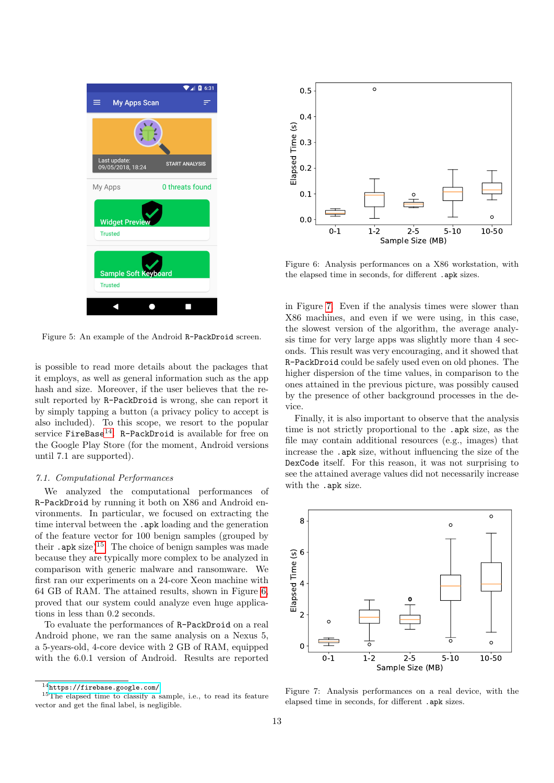<span id="page-12-1"></span>

Figure 5: An example of the Android R-PackDroid screen.

is possible to read more details about the packages that it employs, as well as general information such as the app hash and size. Moreover, if the user believes that the result reported by R-PackDroid is wrong, she can report it by simply tapping a button (a privacy policy to accept is also included). To this scope, we resort to the popular service FireBase<sup>[14](#page-12-2)</sup>. R-PackDroid is available for free on the Google Play Store (for the moment, Android versions until 7.1 are supported).

## <span id="page-12-0"></span>7.1. Computational Performances

We analyzed the computational performances of R-PackDroid by running it both on X86 and Android environments. In particular, we focused on extracting the time interval between the .apk loading and the generation of the feature vector for 100 benign samples (grouped by their  $.\texttt{apk size}$ <sup>[15](#page-12-3)</sup>. The choice of benign samples was made because they are typically more complex to be analyzed in comparison with generic malware and ransomware. We first ran our experiments on a 24-core Xeon machine with 64 GB of RAM. The attained results, shown in Figure [6,](#page-12-4) proved that our system could analyze even huge applications in less than 0.2 seconds.

To evaluate the performances of R-PackDroid on a real Android phone, we ran the same analysis on a Nexus 5, a 5-years-old, 4-core device with 2 GB of RAM, equipped with the 6.0.1 version of Android. Results are reported

<span id="page-12-4"></span>

Figure 6: Analysis performances on a X86 workstation, with the elapsed time in seconds, for different .apk sizes.

in Figure [7.](#page-12-5) Even if the analysis times were slower than X86 machines, and even if we were using, in this case, the slowest version of the algorithm, the average analysis time for very large apps was slightly more than 4 seconds. This result was very encouraging, and it showed that R-PackDroid could be safely used even on old phones. The higher dispersion of the time values, in comparison to the ones attained in the previous picture, was possibly caused by the presence of other background processes in the device.

Finally, it is also important to observe that the analysis time is not strictly proportional to the .apk size, as the file may contain additional resources (e.g., images) that increase the .apk size, without influencing the size of the DexCode itself. For this reason, it was not surprising to see the attained average values did not necessarily increase with the .apk size.

<span id="page-12-5"></span>

Figure 7: Analysis performances on a real device, with the elapsed time in seconds, for different .apk sizes.

<span id="page-12-3"></span><span id="page-12-2"></span> $\frac{14}{14}$ <https://firebase.google.com/>

<sup>&</sup>lt;sup>15</sup>The elapsed time to classify a sample, i.e., to read its feature vector and get the final label, is negligible.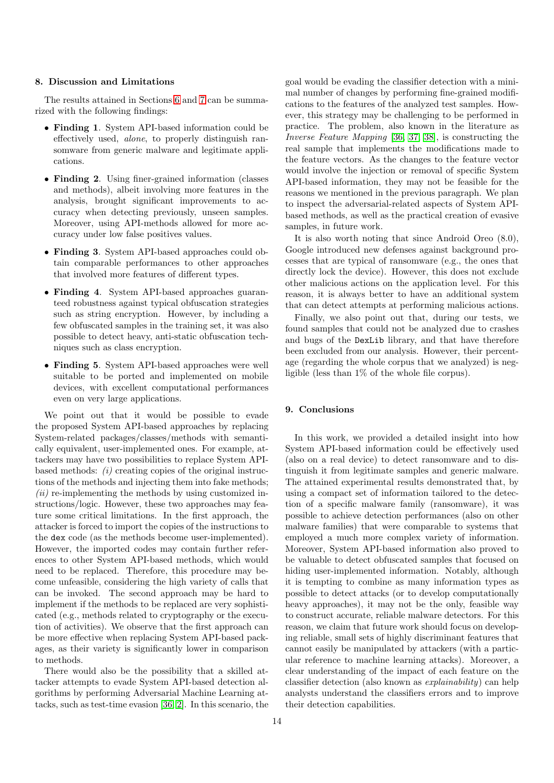## <span id="page-13-0"></span>8. Discussion and Limitations

The results attained in Sections [6](#page-5-0) and [7](#page-11-0) can be summarized with the following findings:

- Finding 1. System API-based information could be effectively used, alone, to properly distinguish ransomware from generic malware and legitimate applications.
- Finding 2. Using finer-grained information (classes and methods), albeit involving more features in the analysis, brought significant improvements to accuracy when detecting previously, unseen samples. Moreover, using API-methods allowed for more accuracy under low false positives values.
- Finding 3. System API-based approaches could obtain comparable performances to other approaches that involved more features of different types.
- Finding 4. System API-based approaches guaranteed robustness against typical obfuscation strategies such as string encryption. However, by including a few obfuscated samples in the training set, it was also possible to detect heavy, anti-static obfuscation techniques such as class encryption.
- Finding 5. System API-based approaches were well suitable to be ported and implemented on mobile devices, with excellent computational performances even on very large applications.

We point out that it would be possible to evade the proposed System API-based approaches by replacing System-related packages/classes/methods with semantically equivalent, user-implemented ones. For example, attackers may have two possibilities to replace System APIbased methods:  $(i)$  creating copies of the original instructions of the methods and injecting them into fake methods;  $(ii)$  re-implementing the methods by using customized instructions/logic. However, these two approaches may feature some critical limitations. In the first approach, the attacker is forced to import the copies of the instructions to the dex code (as the methods become user-implemented). However, the imported codes may contain further references to other System API-based methods, which would need to be replaced. Therefore, this procedure may become unfeasible, considering the high variety of calls that can be invoked. The second approach may be hard to implement if the methods to be replaced are very sophisticated (e.g., methods related to cryptography or the execution of activities). We observe that the first approach can be more effective when replacing System API-based packages, as their variety is significantly lower in comparison to methods.

There would also be the possibility that a skilled attacker attempts to evade System API-based detection algorithms by performing Adversarial Machine Learning attacks, such as test-time evasion [\[36,](#page-15-5) [2\]](#page-14-1). In this scenario, the goal would be evading the classifier detection with a minimal number of changes by performing fine-grained modifications to the features of the analyzed test samples. However, this strategy may be challenging to be performed in practice. The problem, also known in the literature as Inverse Feature Mapping [\[36,](#page-15-5) [37,](#page-15-6) [38\]](#page-15-7), is constructing the real sample that implements the modifications made to the feature vectors. As the changes to the feature vector would involve the injection or removal of specific System API-based information, they may not be feasible for the reasons we mentioned in the previous paragraph. We plan to inspect the adversarial-related aspects of System APIbased methods, as well as the practical creation of evasive samples, in future work.

It is also worth noting that since Android Oreo (8.0), Google introduced new defenses against background processes that are typical of ransomware (e.g., the ones that directly lock the device). However, this does not exclude other malicious actions on the application level. For this reason, it is always better to have an additional system that can detect attempts at performing malicious actions.

Finally, we also point out that, during our tests, we found samples that could not be analyzed due to crashes and bugs of the DexLib library, and that have therefore been excluded from our analysis. However, their percentage (regarding the whole corpus that we analyzed) is negligible (less than 1% of the whole file corpus).

## <span id="page-13-1"></span>9. Conclusions

In this work, we provided a detailed insight into how System API-based information could be effectively used (also on a real device) to detect ransomware and to distinguish it from legitimate samples and generic malware. The attained experimental results demonstrated that, by using a compact set of information tailored to the detection of a specific malware family (ransomware), it was possible to achieve detection performances (also on other malware families) that were comparable to systems that employed a much more complex variety of information. Moreover, System API-based information also proved to be valuable to detect obfuscated samples that focused on hiding user-implemented information. Notably, although it is tempting to combine as many information types as possible to detect attacks (or to develop computationally heavy approaches), it may not be the only, feasible way to construct accurate, reliable malware detectors. For this reason, we claim that future work should focus on developing reliable, small sets of highly discriminant features that cannot easily be manipulated by attackers (with a particular reference to machine learning attacks). Moreover, a clear understanding of the impact of each feature on the classifier detection (also known as explainability) can help analysts understand the classifiers errors and to improve their detection capabilities.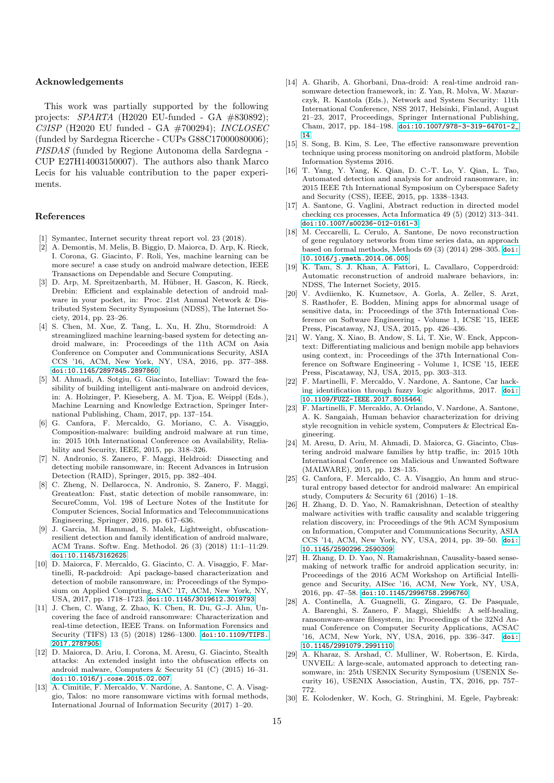#### Acknowledgements

This work was partially supported by the following projects: SPARTA (H2020 EU-funded - GA #830892); C3ISP (H2020 EU funded - GA #700294); INCLOSEC (funded by Sardegna Ricerche - CUPs G88C17000080006); PISDAS (funded by Regione Autonoma della Sardegna - CUP E27H14003150007). The authors also thank Marco Lecis for his valuable contribution to the paper experiments.

#### References

- <span id="page-14-0"></span>[1] Symantec, Internet security threat report vol. 23 (2018).
- <span id="page-14-1"></span>[2] A. Demontis, M. Melis, B. Biggio, D. Maiorca, D. Arp, K. Rieck, I. Corona, G. Giacinto, F. Roli, Yes, machine learning can be more secure! a case study on android malware detection, IEEE Transactions on Dependable and Secure Computing.
- <span id="page-14-2"></span>[3] D. Arp, M. Spreitzenbarth, M. Hübner, H. Gascon, K. Rieck, Drebin: Efficient and explainable detection of android malware in your pocket, in: Proc. 21st Annual Network & Distributed System Security Symposium (NDSS), The Internet Society, 2014, pp. 23–26.
- <span id="page-14-3"></span>[4] S. Chen, M. Xue, Z. Tang, L. Xu, H. Zhu, Stormdroid: A streaminglized machine learning-based system for detecting android malware, in: Proceedings of the 11th ACM on Asia Conference on Computer and Communications Security, ASIA CCS '16, ACM, New York, NY, USA, 2016, pp. 377–388. [doi:10.1145/2897845.2897860](http://dx.doi.org/10.1145/2897845.2897860).
- <span id="page-14-4"></span>[5] M. Ahmadi, A. Sotgiu, G. Giacinto, Intelliav: Toward the feasibility of building intelligent anti-malware on android devices, in: A. Holzinger, P. Kieseberg, A. M. Tjoa, E. Weippl (Eds.), Machine Learning and Knowledge Extraction, Springer International Publishing, Cham, 2017, pp. 137–154.
- <span id="page-14-5"></span>[6] G. Canfora, F. Mercaldo, G. Moriano, C. A. Visaggio, Composition-malware: building android malware at run time, in: 2015 10th International Conference on Availability, Reliability and Security, IEEE, 2015, pp. 318–326.
- <span id="page-14-6"></span>[7] N. Andronio, S. Zanero, F. Maggi, Heldroid: Dissecting and detecting mobile ransomware, in: Recent Advances in Intrusion Detection (RAID), Springer, 2015, pp. 382–404.
- <span id="page-14-7"></span>[8] C. Zheng, N. Dellarocca, N. Andronio, S. Zanero, F. Maggi, Greateatlon: Fast, static detection of mobile ransomware, in: SecureComm, Vol. 198 of Lecture Notes of the Institute for Computer Sciences, Social Informatics and Telecommunications Engineering, Springer, 2016, pp. 617–636.
- <span id="page-14-8"></span>[9] J. Garcia, M. Hammad, S. Malek, Lightweight, obfuscationresilient detection and family identification of android malware, ACM Trans. Softw. Eng. Methodol. 26 (3) (2018) 11:1–11:29. [doi:10.1145/3162625](http://dx.doi.org/10.1145/3162625).
- <span id="page-14-9"></span>[10] D. Maiorca, F. Mercaldo, G. Giacinto, C. A. Visaggio, F. Martinelli, R-packdroid: Api package-based characterization and detection of mobile ransomware, in: Proceedings of the Symposium on Applied Computing, SAC '17, ACM, New York, NY, USA, 2017, pp. 1718–1723. [doi:10.1145/3019612.3019793](http://dx.doi.org/10.1145/3019612.3019793).
- <span id="page-14-10"></span>[11] J. Chen, C. Wang, Z. Zhao, K. Chen, R. Du, G.-J. Ahn, Uncovering the face of android ransomware: Characterization and real-time detection, IEEE Trans. on Information Forensics and Security (TIFS) 13 (5) (2018) 1286–1300. [doi:10.1109/TIFS.](http://dx.doi.org/10.1109/TIFS.2017.2787905) [2017.2787905](http://dx.doi.org/10.1109/TIFS.2017.2787905).
- <span id="page-14-11"></span>[12] D. Maiorca, D. Ariu, I. Corona, M. Aresu, G. Giacinto, Stealth attacks: An extended insight into the obfuscation effects on android malware, Computers & Security 51 (C) (2015) 16–31. [doi:10.1016/j.cose.2015.02.007](http://dx.doi.org/10.1016/j.cose.2015.02.007).
- <span id="page-14-14"></span>[13] A. Cimitile, F. Mercaldo, V. Nardone, A. Santone, C. A. Visaggio, Talos: no more ransomware victims with formal methods, International Journal of Information Security (2017) 1–20.
- <span id="page-14-17"></span>[14] A. Gharib, A. Ghorbani, Dna-droid: A real-time android ransomware detection framework, in: Z. Yan, R. Molva, W. Mazurczyk, R. Kantola (Eds.), Network and System Security: 11th International Conference, NSS 2017, Helsinki, Finland, August 21–23, 2017, Proceedings, Springer International Publishing, Cham, 2017, pp. 184–198. [doi:10.1007/978-3-319-64701-2\\_](http://dx.doi.org/10.1007/978-3-319-64701-2_14) [14](http://dx.doi.org/10.1007/978-3-319-64701-2_14).
- <span id="page-14-13"></span>[15] S. Song, B. Kim, S. Lee, The effective ransomware prevention technique using process monitoring on android platform, Mobile Information Systems 2016.
- <span id="page-14-12"></span>[16] T. Yang, Y. Yang, K. Qian, D. C.-T. Lo, Y. Qian, L. Tao, Automated detection and analysis for android ransomware, in: 2015 IEEE 7th International Symposium on Cyberspace Safety and Security (CSS), IEEE, 2015, pp. 1338–1343.
- <span id="page-14-15"></span>[17] A. Santone, G. Vaglini, Abstract reduction in directed model checking ccs processes, Acta Informatica 49 (5) (2012) 313–341. [doi:10.1007/s00236-012-0161-3](http://dx.doi.org/10.1007/s00236-012-0161-3).
- <span id="page-14-16"></span>[18] M. Ceccarelli, L. Cerulo, A. Santone, De novo reconstruction of gene regulatory networks from time series data, an approach based on formal methods, Methods 69 (3) (2014) 298–305. [doi:](http://dx.doi.org/10.1016/j.ymeth.2014.06.005) [10.1016/j.ymeth.2014.06.005](http://dx.doi.org/10.1016/j.ymeth.2014.06.005).
- <span id="page-14-18"></span>[19] K. Tam, S. J. Khan, A. Fattori, L. Cavallaro, Copperdroid: Automatic reconstruction of android malware behaviors, in: NDSS, The Internet Society, 2015.
- <span id="page-14-19"></span>[20] V. Avdiienko, K. Kuznetsov, A. Gorla, A. Zeller, S. Arzt, S. Rasthofer, E. Bodden, Mining apps for abnormal usage of sensitive data, in: Proceedings of the 37th International Conference on Software Engineering - Volume 1, ICSE '15, IEEE Press, Piscataway, NJ, USA, 2015, pp. 426–436.
- <span id="page-14-20"></span>[21] W. Yang, X. Xiao, B. Andow, S. Li, T. Xie, W. Enck, Appcontext: Differentiating malicious and benign mobile app behaviors using context, in: Proceedings of the 37th International Conference on Software Engineering - Volume 1, ICSE '15, IEEE Press, Piscataway, NJ, USA, 2015, pp. 303–313.
- <span id="page-14-21"></span>[22] F. Martinelli, F. Mercaldo, V. Nardone, A. Santone, Car hacking identification through fuzzy logic algorithms, 2017. [doi:](http://dx.doi.org/10.1109/FUZZ-IEEE.2017.8015464) [10.1109/FUZZ-IEEE.2017.8015464](http://dx.doi.org/10.1109/FUZZ-IEEE.2017.8015464).
- <span id="page-14-22"></span>[23] F. Martinelli, F. Mercaldo, A. Orlando, V. Nardone, A. Santone, A. K. Sangaiah, Human behavior characterization for driving style recognition in vehicle system, Computers & Electrical Engineering.
- <span id="page-14-23"></span>[24] M. Aresu, D. Ariu, M. Ahmadi, D. Maiorca, G. Giacinto, Clustering android malware families by http traffic, in: 2015 10th International Conference on Malicious and Unwanted Software (MALWARE), 2015, pp. 128–135.
- <span id="page-14-24"></span>[25] G. Canfora, F. Mercaldo, C. A. Visaggio, An hmm and structural entropy based detector for android malware: An empirical study, Computers & Security 61 (2016) 1–18.
- <span id="page-14-25"></span>[26] H. Zhang, D. D. Yao, N. Ramakrishnan, Detection of stealthy malware activities with traffic causality and scalable triggering relation discovery, in: Proceedings of the 9th ACM Symposium on Information, Computer and Communications Security, ASIA CCS '14, ACM, New York, NY, USA, 2014, pp. 39–50. [doi:](http://dx.doi.org/10.1145/2590296.2590309) [10.1145/2590296.2590309](http://dx.doi.org/10.1145/2590296.2590309).
- <span id="page-14-26"></span>[27] H. Zhang, D. D. Yao, N. Ramakrishnan, Causality-based sensemaking of network traffic for android application security, in: Proceedings of the 2016 ACM Workshop on Artificial Intelligence and Security, AISec '16, ACM, New York, NY, USA, 2016, pp. 47–58. [doi:10.1145/2996758.2996760](http://dx.doi.org/10.1145/2996758.2996760).
- <span id="page-14-27"></span>[28] A. Continella, A. Guagnelli, G. Zingaro, G. De Pasquale, A. Barenghi, S. Zanero, F. Maggi, Shieldfs: A self-healing, ransomware-aware filesystem, in: Proceedings of the 32Nd Annual Conference on Computer Security Applications, ACSAC '16, ACM, New York, NY, USA, 2016, pp. 336–347. [doi:](http://dx.doi.org/10.1145/2991079.2991110) [10.1145/2991079.2991110](http://dx.doi.org/10.1145/2991079.2991110).
- <span id="page-14-28"></span>[29] A. Kharaz, S. Arshad, C. Mulliner, W. Robertson, E. Kirda, UNVEIL: A large-scale, automated approach to detecting ransomware, in: 25th USENIX Security Symposium (USENIX Security 16), USENIX Association, Austin, TX, 2016, pp. 757– 772.
- <span id="page-14-29"></span>[30] E. Kolodenker, W. Koch, G. Stringhini, M. Egele, Paybreak: